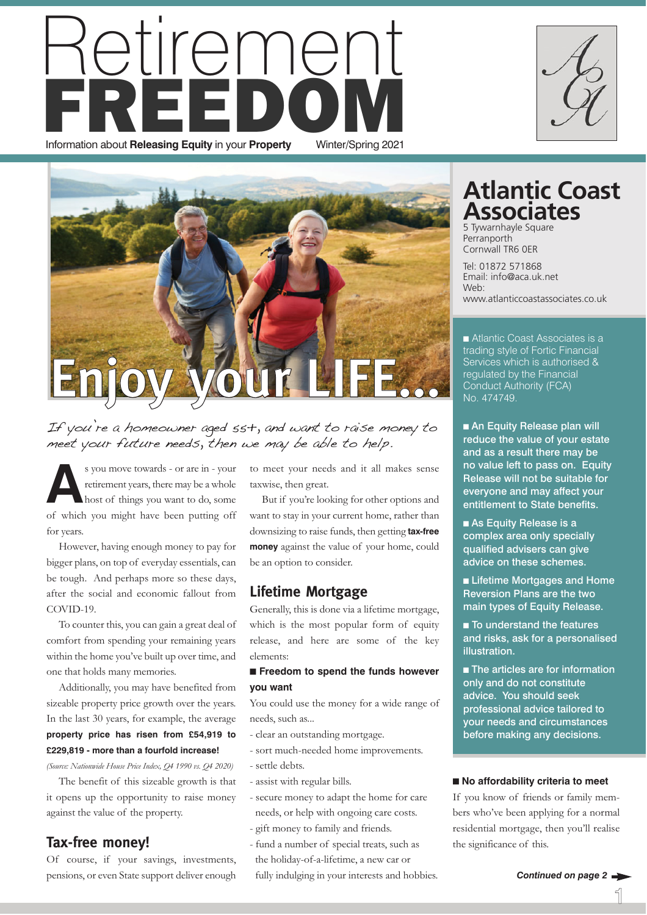### tireme **FREDOM** Information about **Releasing Equity** in your **Property** Winter/Spring 2021



If you're a homeowner aged 55+, and want to raise money to meet your future needs, then we may be able to help.

**A**s you move towards - or are in - your retirement years, there may be a whole host of things you want to do, some of which you might have been putting off for years.

However, having enough money to pay for bigger plans, on top of everyday essentials, can be tough. And perhaps more so these days, after the social and economic fallout from COVID-19.

To counter this, you can gain a great deal of comfort from spending your remaining years within the home you've built up over time, and one that holds many memories.

Additionally, you may have benefited from sizeable property price growth over the years. In the last 30 years, for example, the average **property price has risen from £54,919 to £229,819 - more than a fourfold increase!**

*(Source: Nationwide House Price Index, Q4 1990 vs. Q4 2020)*

The benefit of this sizeable growth is that it opens up the opportunity to raise money against the value of the property.

#### **Tax-free money!**

Of course, if your savings, investments, pensions, or even State support deliver enough to meet your needs and it all makes sense taxwise, then great.

But if you're looking for other options and want to stay in your current home, rather than downsizing to raise funds, then getting **tax-free money** against the value of your home, could be an option to consider.

#### **Lifetime Mortgage**

Generally, this is done via a lifetime mortgage, which is the most popular form of equity release, and here are some of the key elements:

#### ■ **Freedom to spend the funds however you want**

You could use the money for a wide range of needs, such as...

- clear an outstanding mortgage.
- sort much-needed home improvements.
- settle debts.
- assist with regular bills.
- secure money to adapt the home for care needs, or help with ongoing care costs.
- gift money to family and friends.
- fund a number of special treats, such as the holiday-of-a-lifetime, a new car or fully indulging in your interests and hobbies.

#### **Atlantic Coast Associates**

5 Tywarnhayle Square **Perranporth** Cornwall TR6 0ER

Tel: 01872 571868 Email: info@aca.uk.net Web: www.atlanticcoastassociates.co.uk

■ Atlantic Coast Associates is a trading style of Fortic Financial Services which is authorised & regulated by the Financial Conduct Authority (FCA) No. 474749.

■ An Equity Release plan will reduce the value of your estate and as a result there may be no value left to pass on. Equity Release will not be suitable for everyone and may affect your entitlement to State benefits.

■ As Equity Release is a complex area only specially qualified advisers can give advice on these schemes.

■ Lifetime Mortgages and Home Reversion Plans are the two main types of Equity Release.

■ To understand the features and risks, ask for a personalised illustration.

■ The articles are for information only and do not constitute advice. You should seek professional advice tailored to your needs and circumstances before making any decisions.

#### ■ No affordability criteria to meet

If you know of friends or family members who've been applying for a normal residential mortgage, then you'll realise the significance of this.

1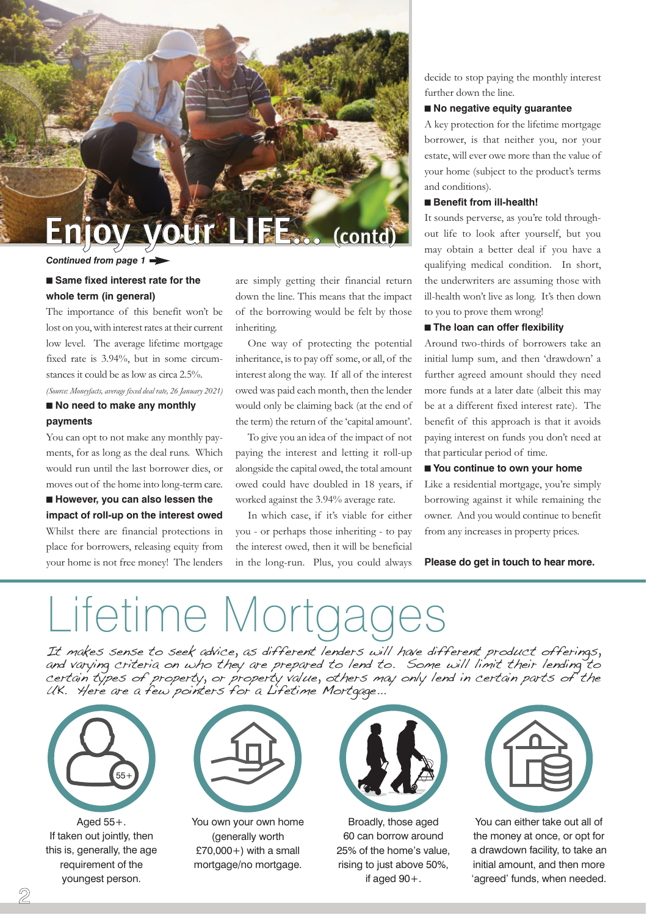

#### *Continued from page 1*

#### ■ Same fixed interest rate for the **whole term (in general)**

The importance of this benefit won't be lost on you, with interest rates at their current low level. The average lifetime mortgage fixed rate is 3.94%, but in some circumstances it could be as low as circa 2.5%.

*(Source: Moneyfacts, average fixed deal rate, 26 January 2021)*

#### ■ **No need to make any monthly payments**

You can opt to not make any monthly payments, for as long as the deal runs. Which would run until the last borrower dies, or moves out of the home into long-term care.

■ **However, you can also lessen the impact of roll-up on the interest owed** Whilst there are financial protections in place for borrowers, releasing equity from your home is not free money! The lenders are simply getting their financial return down the line. This means that the impact of the borrowing would be felt by those inheriting.

One way of protecting the potential inheritance, is to pay off some, or all, of the interest along the way. If all of the interest owed was paid each month, then the lender would only be claiming back (at the end of the term) the return of the 'capital amount'.

To give you an idea of the impact of not paying the interest and letting it roll-up alongside the capital owed, the total amount owed could have doubled in 18 years, if worked against the 3.94% average rate.

In which case, if it's viable for either you - or perhaps those inheriting - to pay the interest owed, then it will be beneficial in the long-run. Plus, you could always decide to stop paying the monthly interest further down the line.

#### ■ **No negative equity guarantee**

A key protection for the lifetime mortgage borrower, is that neither you, nor your estate, will ever owe more than the value of your home (subject to the product's terms and conditions).

#### ■ **Benefit from ill-health!**

It sounds perverse, as you're told throughout life to look after yourself, but you may obtain a better deal if you have a qualifying medical condition. In short, the underwriters are assuming those with ill-health won't live as long. It's then down to you to prove them wrong!

#### ■ **The loan can offer flexibility**

Around two-thirds of borrowers take an initial lump sum, and then 'drawdown' a further agreed amount should they need more funds at a later date (albeit this may be at a different fixed interest rate). The benefit of this approach is that it avoids paying interest on funds you don't need at that particular period of time.

#### ■ **You continue to own your home**

Like a residential mortgage, you're simply borrowing against it while remaining the owner. And you would continue to benefit from any increases in property prices.

**Please do get in touch to hear more.**

## Lifetime Mortc

It makes sense to seek advice, as different lenders will have different product offerings, and varying criteria on who they are prepared to lend to. Some will limit their lending to certain types of property, or property value, others may only lend in certain parts of the UK. Here are a few pointers for a Lifetime Mortgage...



Aged 55+. If taken out jointly, then this is, generally, the age requirement of the youngest person.



You own your own home (generally worth  $£70,000+)$  with a small mortgage/no mortgage.



Broadly, those aged 60 can borrow around 25% of the home's value, rising to just above 50%, if aged 90+.



You can either take out all of the money at once, or opt for a drawdown facility, to take an initial amount, and then more 'agreed' funds, when needed.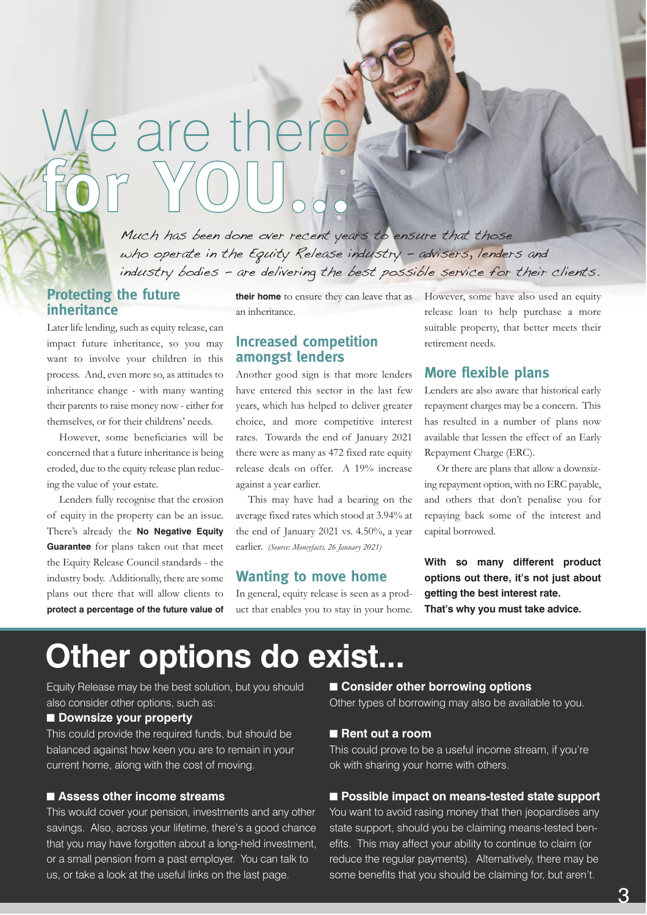# We are there **for YOU...**

Much has been done over recent years to ensure that those who operate in the Equity Release industry - advisers, lenders and industry bodies - are delivering the best possible service for their clients.

#### **Protecting the future inheritance**

Later life lending, such as equity release, can impact future inheritance, so you may want to involve your children in this process. And, even more so, as attitudes to inheritance change - with many wanting their parents to raise money now - either for themselves, or for their childrens' needs.

However, some beneficiaries will be concerned that a future inheritance is being eroded, due to the equity release plan reducing the value of your estate.

Lenders fully recognise that the erosion of equity in the property can be an issue. There's already the **No Negative Equity Guarantee** for plans taken out that meet the Equity Release Council standards - the industry body. Additionally, there are some plans out there that will allow clients to **protect a percentage of the future value of** an inheritance.

#### **Increased competition amongst lenders**

Another good sign is that more lenders have entered this sector in the last few years, which has helped to deliver greater choice, and more competitive interest rates. Towards the end of January 2021 there were as many as 472 fixed rate equity release deals on offer. A 19% increase against a year earlier.

This may have had a bearing on the average fixed rates which stood at 3.94% at the end of January 2021 vs. 4.50%, a year earlier. *(Source: Moneyfacts, 26 January 2021)*

#### **Wanting to move home**

In general, equity release is seen as a product that enables you to stay in your home.

**their home** to ensure they can leave that as However, some have also used an equity release loan to help purchase a more suitable property, that better meets their retirement needs.

#### **More flexible plans**

Lenders are also aware that historical early repayment charges may be a concern. This has resulted in a number of plans now available that lessen the effect of an Early Repayment Charge (ERC).

Or there are plans that allow a downsizing repayment option, with no ERC payable, and others that don't penalise you for repaying back some of the interest and capital borrowed.

**With so many different product options out there, it's not just about getting the best interest rate. That's why you must take advice.**

### **Other options do exist...**

Equity Release may be the best solution, but you should also consider other options, such as:

#### ■ **Downsize your property**

This could provide the required funds, but should be balanced against how keen you are to remain in your current home, along with the cost of moving.

#### ■ Assess other income streams

This would cover your pension, investments and any other savings. Also, across your lifetime, there's a good chance that you may have forgotten about a long-held investment, or a small pension from a past employer. You can talk to us, or take a look at the useful links on the last page.

#### ■ **Consider other borrowing options**

Other types of borrowing may also be available to you.

#### ■ Rent out a room

This could prove to be a useful income stream, if you're ok with sharing your home with others.

#### ■ **Possible impact on means-tested state support**

You want to avoid rasing money that then jeopardises any state support, should you be claiming means-tested benefits. This may affect your ability to continue to claim (or reduce the regular payments). Alternatively, there may be some benefits that you should be claiming for, but aren't.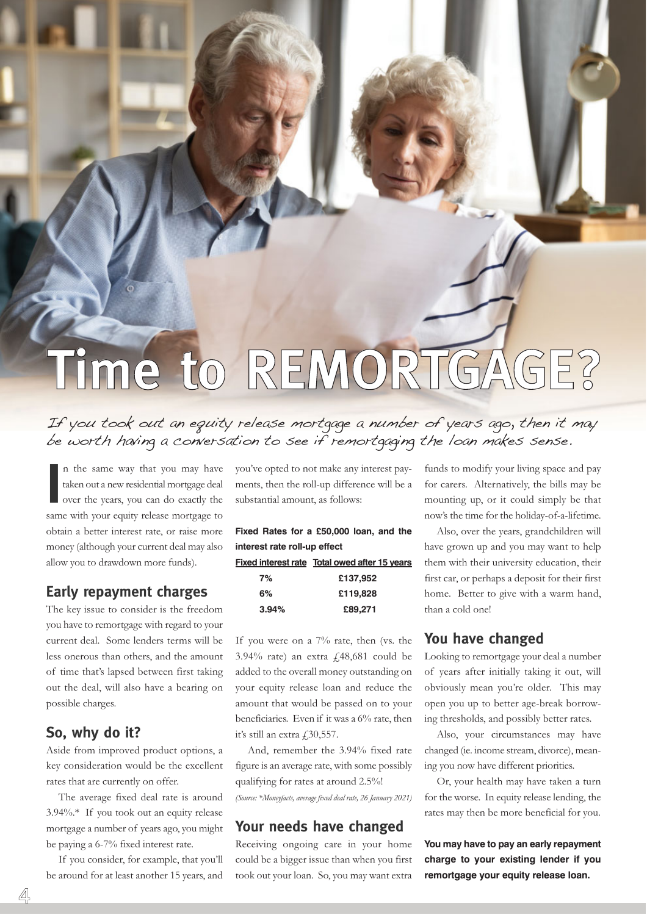# **Time to REMORTGAGE?**

#### If you took out an equity release mortgage a number of years ago, then it may be worth having a conversation to see if remortgaging the loan makes sense.

In the same way that you may have taken out a new residential mortgage deal over the years, you can do exactly the same with your equity release mortgage to n the same way that you may have taken out a new residential mortgage deal over the years, you can do exactly the obtain a better interest rate, or raise more money (although your current deal may also allow you to drawdown more funds).

#### **Early repayment charges**

The key issue to consider is the freedom you have to remortgage with regard to your current deal. Some lenders terms will be less onerous than others, and the amount of time that's lapsed between first taking out the deal, will also have a bearing on possible charges.

#### **So, why do it?**

Aside from improved product options, a key consideration would be the excellent rates that are currently on offer.

The average fixed deal rate is around 3.94%.\* If you took out an equity release mortgage a number of years ago, you might be paying a 6-7% fixed interest rate.

If you consider, for example, that you'll be around for at least another 15 years, and

you've opted to not make any interest payments, then the roll-up difference will be a substantial amount, as follows:

|                              | Fixed Rates for a £50,000 loan, and the              |  |  |
|------------------------------|------------------------------------------------------|--|--|
| interest rate roll-up effect |                                                      |  |  |
|                              | <b>Fixed interest rate Total owed after 15 years</b> |  |  |
| 7%                           | £137.952                                             |  |  |
| 6%                           | £119,828                                             |  |  |
| 3.94%                        | £89,271                                              |  |  |

If you were on a 7% rate, then (vs. the 3.94% rate) an extra £48,681 could be added to the overall money outstanding on your equity release loan and reduce the amount that would be passed on to your beneficiaries. Even if it was a 6% rate, then it's still an extra  $£30,557$ .

And, remember the 3.94% fixed rate figure is an average rate, with some possibly qualifying for rates at around 2.5%! *(Source: \*Moneyfacts, average fixed deal rate, 26 January 2021)*

#### **Your needs have changed**

Receiving ongoing care in your home could be a bigger issue than when you first took out your loan. So, you may want extra funds to modify your living space and pay for carers. Alternatively, the bills may be mounting up, or it could simply be that now's the time for the holiday-of-a-lifetime.

Also, over the years, grandchildren will have grown up and you may want to help them with their university education, their first car, or perhaps a deposit for their first home. Better to give with a warm hand, than a cold one!

#### **You have changed**

Looking to remortgage your deal a number of years after initially taking it out, will obviously mean you're older. This may open you up to better age-break borrowing thresholds, and possibly better rates.

Also, your circumstances may have changed (ie. income stream, divorce), meaning you now have different priorities.

Or, your health may have taken a turn for the worse. In equity release lending, the rates may then be more beneficial for you.

**You may have to pay an early repayment charge to your existing lender if you remortgage your equity release loan.**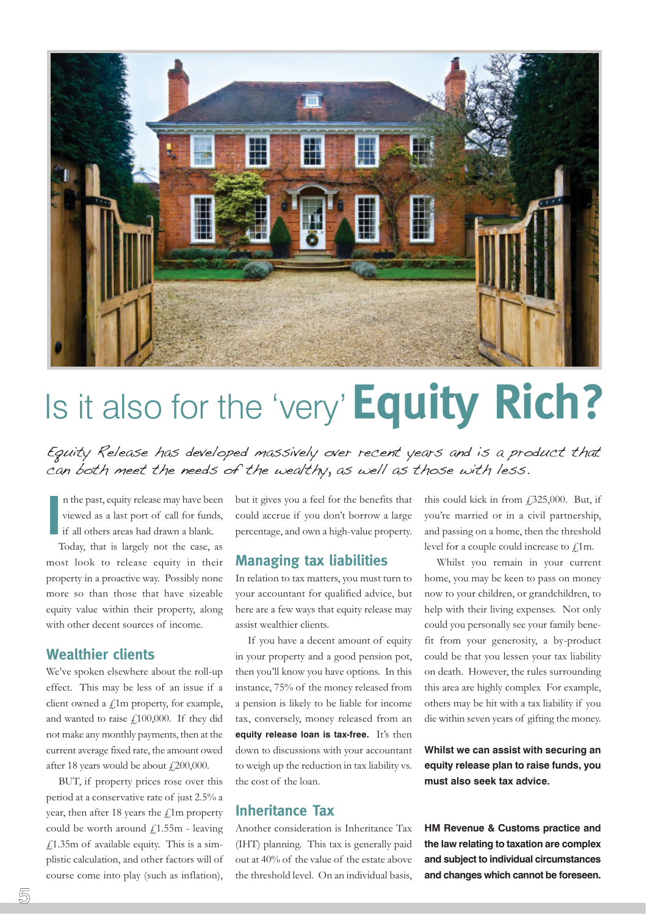

### Is it also for the 'very'**Equity Rich?**

Equity Release has developed massively over recent years and is a product that can both meet the needs of the wealthy, as well as those with less.

**I** n the past, equity release may have been viewed as a last port of call for funds, if all others areas had drawn a blank.

Today, that is largely not the case, as most look to release equity in their property in a proactive way. Possibly none more so than those that have sizeable equity value within their property, along with other decent sources of income.

#### **Wealthier clients**

We've spoken elsewhere about the roll-up effect. This may be less of an issue if a client owned a  $f<sub>i</sub>$ 1m property, for example, and wanted to raise £100,000. If they did not make any monthly payments, then at the current average fixed rate, the amount owed after 18 years would be about £200,000.

BUT, if property prices rose over this period at a conservative rate of just 2.5% a year, then after 18 years the  $\text{\textsterling}1m$  property could be worth around  $f(1.55m - \text{leaving})$  $f(1.35m)$  of available equity. This is a simplistic calculation, and other factors will of course come into play (such as inflation), but it gives you a feel for the benefits that could accrue if you don't borrow a large percentage, and own a high-value property.

#### **Managing tax liabilities**

In relation to tax matters, you must turn to your accountant for qualified advice, but here are a few ways that equity release may assist wealthier clients.

If you have a decent amount of equity in your property and a good pension pot, then you'll know you have options. In this instance, 75% of the money released from a pension is likely to be liable for income tax, conversely, money released from an **equity release loan is tax-free.** It's then down to discussions with your accountant to weigh up the reduction in tax liability vs. the cost of the loan.

#### **Inheritance Tax**

Another consideration is Inheritance Tax (IHT) planning. This tax is generally paid out at 40% of the value of the estate above the threshold level. On an individual basis,

this could kick in from  $\text{\emph{f}}325,000$ . But, if you're married or in a civil partnership, and passing on a home, then the threshold level for a couple could increase to  $f$ <sub>1</sub>m.

Whilst you remain in your current home, you may be keen to pass on money now to your children, or grandchildren, to help with their living expenses. Not only could you personally see your family benefit from your generosity, a by-product could be that you lessen your tax liability on death. However, the rules surrounding this area are highly complex For example, others may be hit with a tax liability if you die within seven years of gifting the money.

**Whilst we can assist with securing an equity release plan to raise funds, you must also seek tax advice.**

**HM Revenue & Customs practice and the law relating to taxation are complex and subject to individual circumstances and changes which cannot be foreseen.**